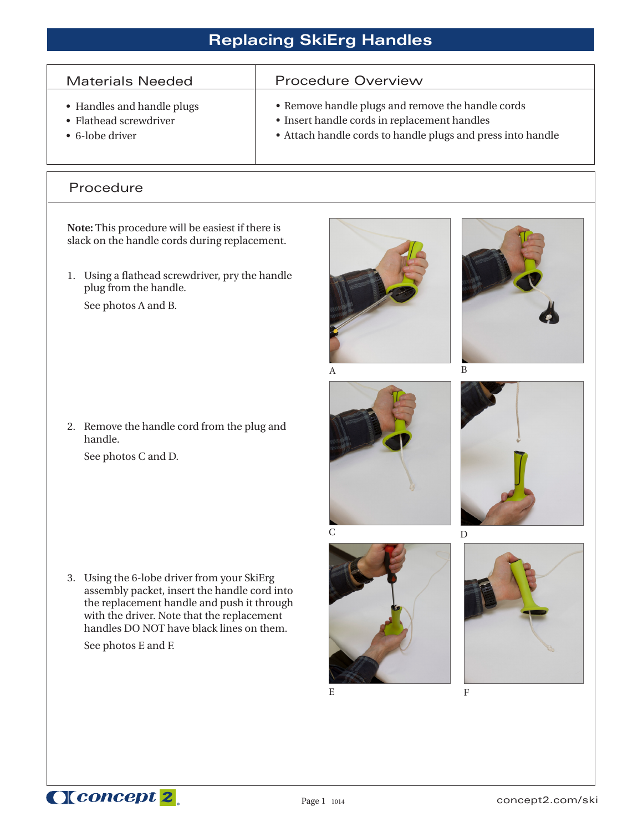## **Replacing SkiErg Handles**

| <b>Materials Needed</b>    | <b>Procedure Overview</b>                                   |
|----------------------------|-------------------------------------------------------------|
| • Handles and handle plugs | • Remove handle plugs and remove the handle cords           |
| • Flathead screwdriver     | • Insert handle cords in replacement handles                |
| $\bullet$ 6-lobe driver    | • Attach handle cords to handle plugs and press into handle |

## Procedure

I

**Note:** This procedure will be easiest if there is slack on the handle cords during replacement.

1. Using a flathead screwdriver, pry the handle plug from the handle. See photos A and B.

2. Remove the handle cord from the plug and handle.

See photos C and D.

3. Using the 6-lobe driver from your SkiErg assembly packet, insert the handle cord into the replacement handle and push it through with the driver. Note that the replacement handles DO NOT have black lines on them.

See photos E and F.











E F